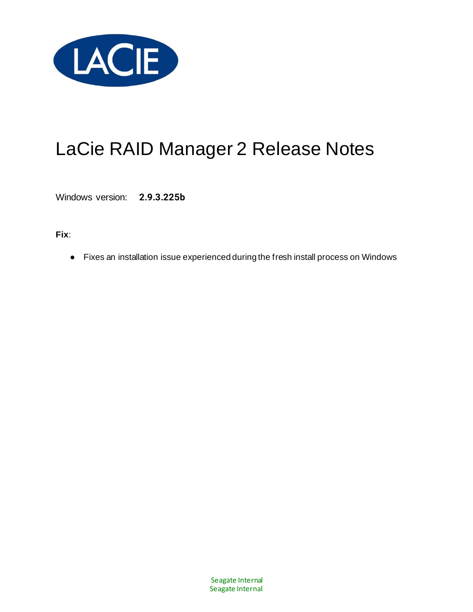

Windows version: **2.9.3.225b**

**Fix**:

● Fixes an installation issue experienced during the fresh install process on Windows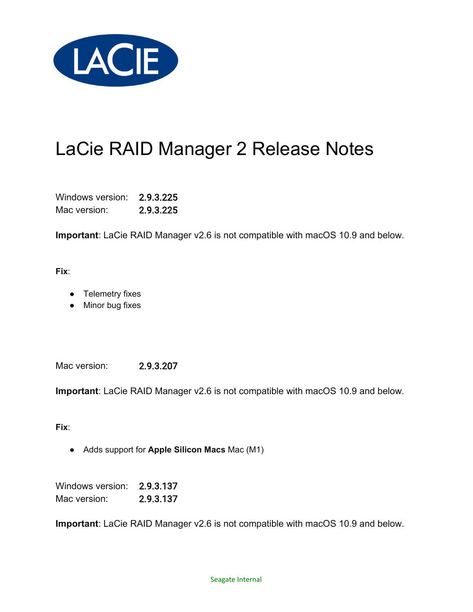

Windows version: 2.9.3.225 Mac version: 2.9.3.225

**Important**: LaCie RAID Manager v2.6 is not compatible with macOS 10.9 and below.

**Fix**:

- Telemetry fixes
- Minor bug fixes

Mac version: 2.9.3.207

**Important**: LaCie RAID Manager v2.6 is not compatible with macOS 10.9 and below.

**Fix**:

● Adds support for **Apple Silicon Macs** Mac (M1)

Windows version: 2.9.3.137 Mac version: 2.9.3.137

**Important**: LaCie RAID Manager v2.6 is not compatible with macOS 10.9 and below.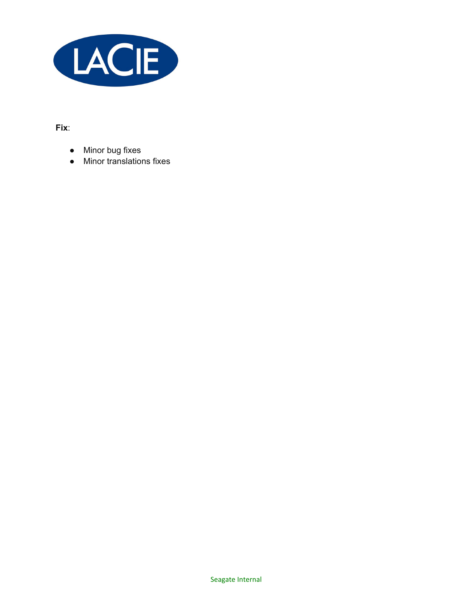

**Fix**:

- Minor bug fixes
- Minor translations fixes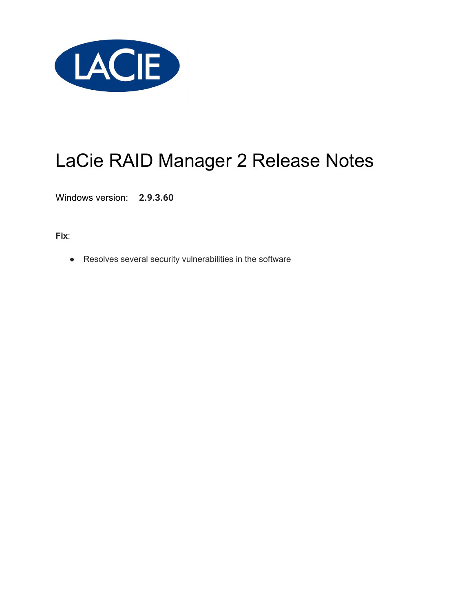

Windows version: **2.9.3.60**

**Fix**:

● Resolves several security vulnerabilities in the software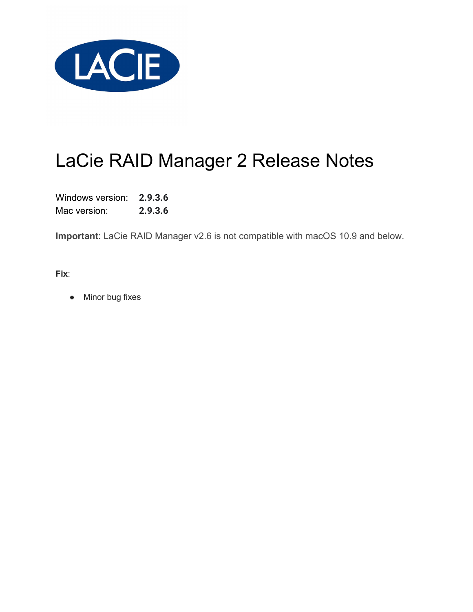

Windows version: **2.9.3.6** Mac version: **2.9.3.6**

**Important**: LaCie RAID Manager v2.6 is not compatible with macOS 10.9 and below.

**Fix**:

• Minor bug fixes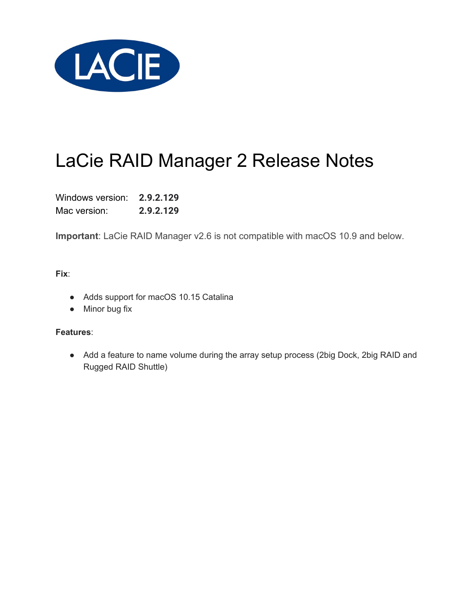

Windows version: **2.9.2.129** Mac version: **2.9.2.129**

**Important**: LaCie RAID Manager v2.6 is not compatible with macOS 10.9 and below.

**Fix**:

- Adds support for macOS 10.15 Catalina
- Minor bug fix

#### **Features**:

• Add a feature to name volume during the array setup process (2big Dock, 2big RAID and Rugged RAID Shuttle)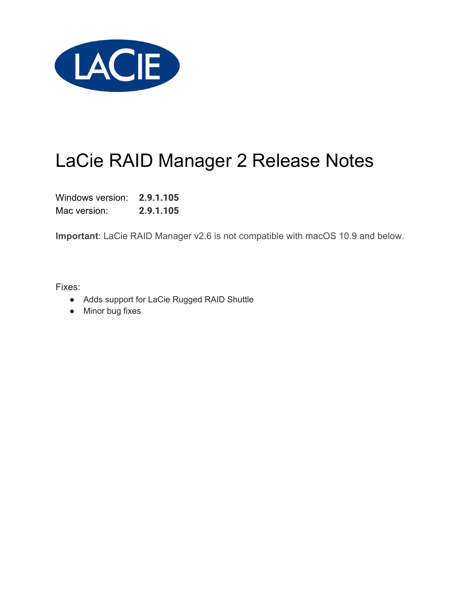

Windows version: **2.9.1.105** Mac version: **2.9.1.105**

**Important**: LaCie RAID Manager v2.6 is not compatible with macOS 10.9 and below.

- Adds support for LaCie Rugged RAID Shuttle
- Minor bug fixes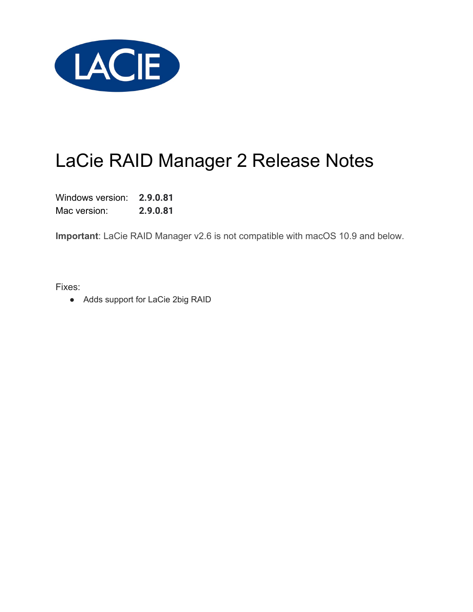

Windows version: **2.9.0.81** Mac version: **2.9.0.81**

**Important**: LaCie RAID Manager v2.6 is not compatible with macOS 10.9 and below.

Fixes:

● Adds support for LaCie 2big RAID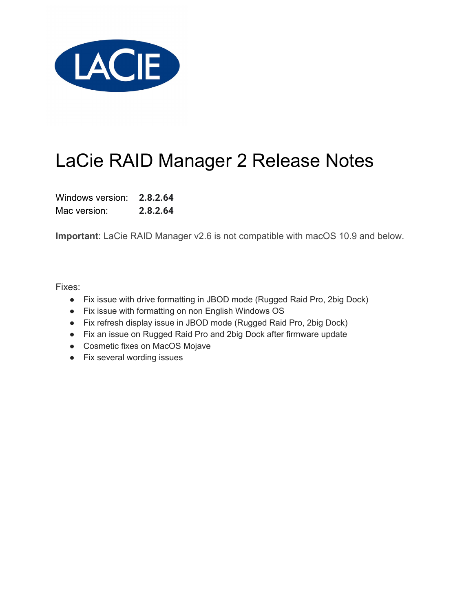

Windows version: **2.8.2.64** Mac version: **2.8.2.64**

**Important**: LaCie RAID Manager v2.6 is not compatible with macOS 10.9 and below.

- Fix issue with drive formatting in JBOD mode (Rugged Raid Pro, 2big Dock)
- Fix issue with formatting on non English Windows OS
- Fix refresh display issue in JBOD mode (Rugged Raid Pro, 2big Dock)
- Fix an issue on Rugged Raid Pro and 2big Dock after firmware update
- Cosmetic fixes on MacOS Mojave
- Fix several wording issues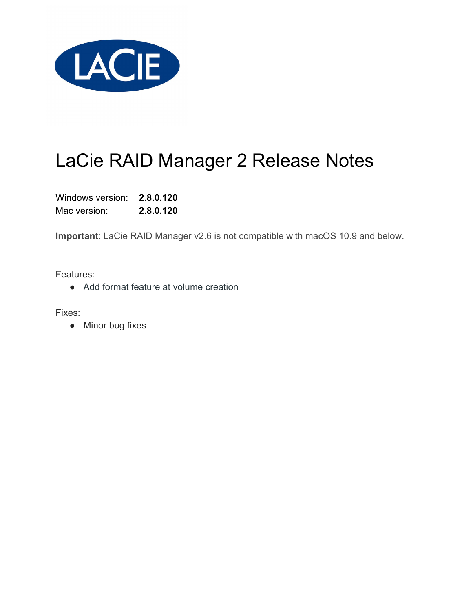

Windows version: **2.8.0.120** Mac version: **2.8.0.120**

**Important**: LaCie RAID Manager v2.6 is not compatible with macOS 10.9 and below.

Features:

● Add format feature at volume creation

Fixes:

• Minor bug fixes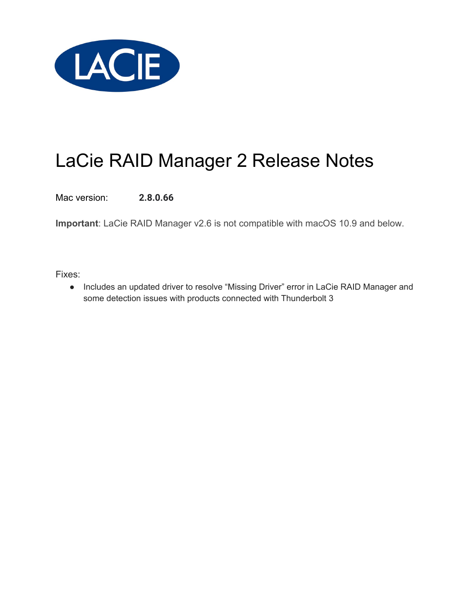

Mac version: **2.8.0.66**

**Important**: LaCie RAID Manager v2.6 is not compatible with macOS 10.9 and below.

Fixes:

● Includes an updated driver to resolve "Missing Driver" error in LaCie RAID Manager and some detection issues with products connected with Thunderbolt 3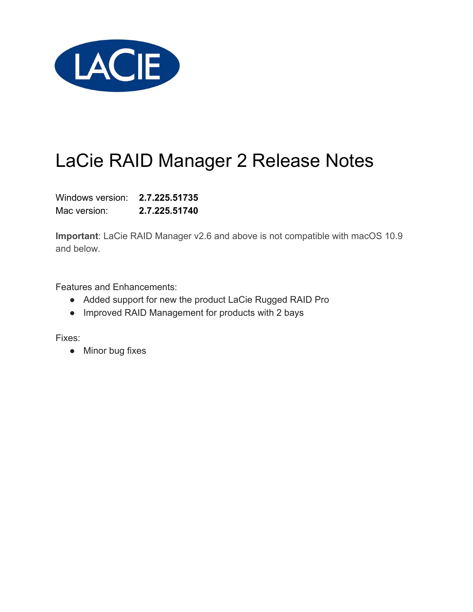

Windows version: **2.7.225.51735** Mac version: **2.7.225.51740**

**Important**: LaCie RAID Manager v2.6 and above is not compatible with macOS 10.9 and below.

Features and Enhancements:

- Added support for new the product LaCie Rugged RAID Pro
- Improved RAID Management for products with 2 bays

Fixes:

• Minor bug fixes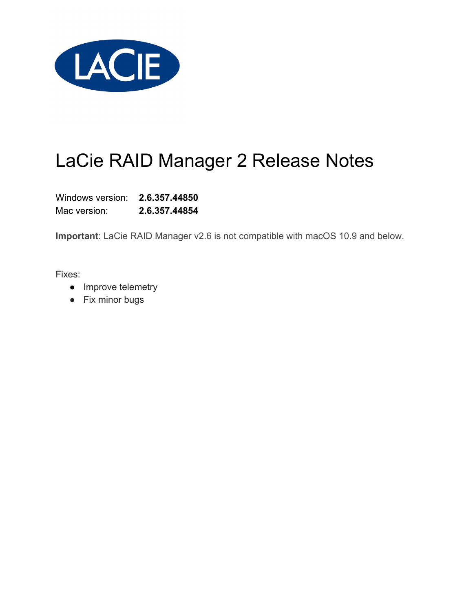

Windows version: **2.6.357.44850** Mac version: **2.6.357.44854**

**Important**: LaCie RAID Manager v2.6 is not compatible with macOS 10.9 and below.

- Improve telemetry
- Fix minor bugs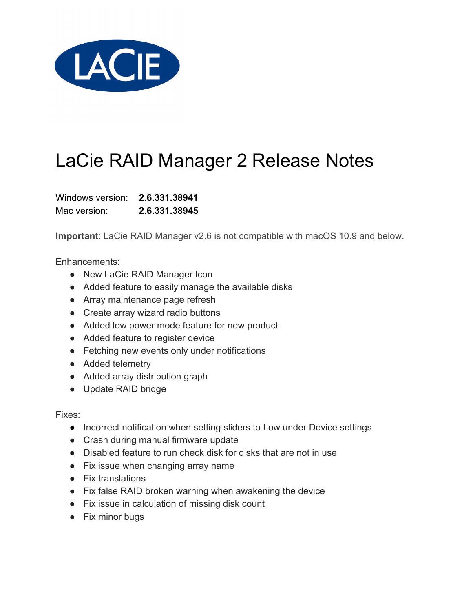

Windows version: **2.6.331.38941** Mac version: **2.6.331.38945**

**Important**: LaCie RAID Manager v2.6 is not compatible with macOS 10.9 and below.

Enhancements:

- New LaCie RAID Manager Icon
- Added feature to easily manage the available disks
- Array maintenance page refresh
- Create array wizard radio buttons
- Added low power mode feature for new product
- Added feature to register device
- Fetching new events only under notifications
- Added telemetry
- Added array distribution graph
- Update RAID bridge

- Incorrect notification when setting sliders to Low under Device settings
- Crash during manual firmware update
- Disabled feature to run check disk for disks that are not in use
- Fix issue when changing array name
- Fix translations
- Fix false RAID broken warning when awakening the device
- Fix issue in calculation of missing disk count
- Fix minor bugs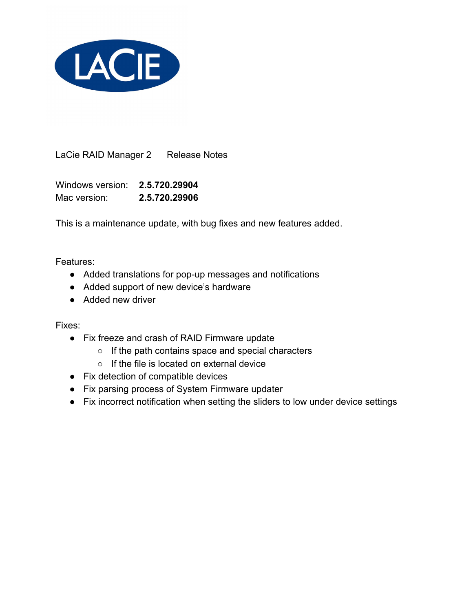

Windows version: **2.5.720.29904** Mac version: **2.5.720.29906**

This is a maintenance update, with bug fixes and new features added.

Features:

- Added translations for pop-up messages and notifications
- Added support of new device's hardware
- Added new driver

- Fix freeze and crash of RAID Firmware update
	- If the path contains space and special characters
	- If the file is located on external device
- Fix detection of compatible devices
- Fix parsing process of System Firmware updater
- Fix incorrect notification when setting the sliders to low under device settings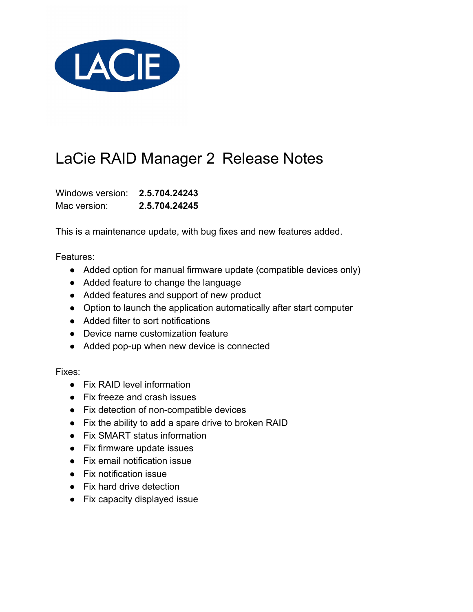

Windows version: **2.5.704.24243** Mac version: **2.5.704.24245**

This is a maintenance update, with bug fixes and new features added.

Features:

- Added option for manual firmware update (compatible devices only)
- Added feature to change the language
- Added features and support of new product
- Option to launch the application automatically after start computer
- Added filter to sort notifications
- Device name customization feature
- Added pop-up when new device is connected

- Fix RAID level information
- Fix freeze and crash issues
- Fix detection of non-compatible devices
- Fix the ability to add a spare drive to broken RAID
- Fix SMART status information
- Fix firmware update issues
- Fix email notification issue
- Fix notification issue
- Fix hard drive detection
- Fix capacity displayed issue